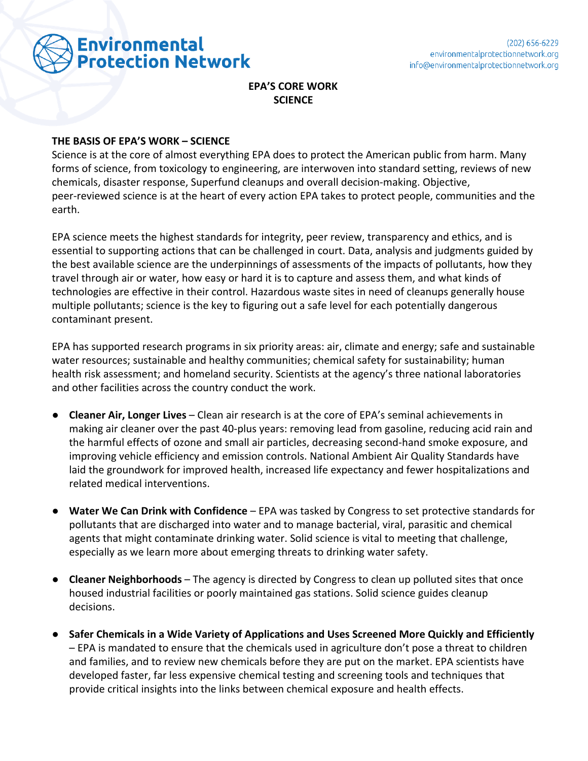

## **EPA'S CORE WORK SCIENCE**

## **THE BASIS OF EPA'S WORK – SCIENCE**

Science is at the core of almost everything EPA does to protect the American public from harm. Many forms of science, from toxicology to engineering, are interwoven into standard setting, reviews of new chemicals, disaster response, Superfund cleanups and overall decision-making. Objective, peer-reviewed science is at the heart of every action EPA takes to protect people, communities and the earth.

EPA science meets the highest standards for integrity, peer review, transparency and ethics, and is essential to supporting actions that can be challenged in court. Data, analysis and judgments guided by the best available science are the underpinnings of assessments of the impacts of pollutants, how they travel through air or water, how easy or hard it is to capture and assess them, and what kinds of technologies are effective in their control. Hazardous waste sites in need of cleanups generally house multiple pollutants; science is the key to figuring out a safe level for each potentially dangerous contaminant present.

EPA has supported research programs in six priority areas: air, climate and energy; safe and sustainable water resources; sustainable and healthy communities; chemical safety for sustainability; human health risk assessment; and homeland security. Scientists at the agency's three national laboratories and other facilities across the country conduct the work.

- **Cleaner Air, Longer Lives** Clean air research is at the core of EPA's seminal achievements in making air cleaner over the past 40-plus years: removing lead from gasoline, reducing acid rain and the harmful effects of ozone and small air particles, decreasing second-hand smoke exposure, and improving vehicle efficiency and emission controls. National Ambient Air Quality Standards have laid the groundwork for improved health, increased life expectancy and fewer hospitalizations and related medical interventions.
- **Water We Can Drink with Confidence** EPA was tasked by Congress to set protective standards for pollutants that are discharged into water and to manage bacterial, viral, parasitic and chemical agents that might contaminate drinking water. Solid science is vital to meeting that challenge, especially as we learn more about emerging threats to drinking water safety.
- **Cleaner Neighborhoods** The agency is directed by Congress to clean up polluted sites that once housed industrial facilities or poorly maintained gas stations. Solid science guides cleanup decisions.
- **Safer Chemicals in a Wide Variety of Applications and Uses Screened More Quickly and Efficiently** – EPA is mandated to ensure that the chemicals used in agriculture don't pose a threat to children and families, and to review new chemicals before they are put on the market. EPA scientists have developed faster, far less expensive chemical testing and screening tools and techniques that provide critical insights into the links between chemical exposure and health effects.